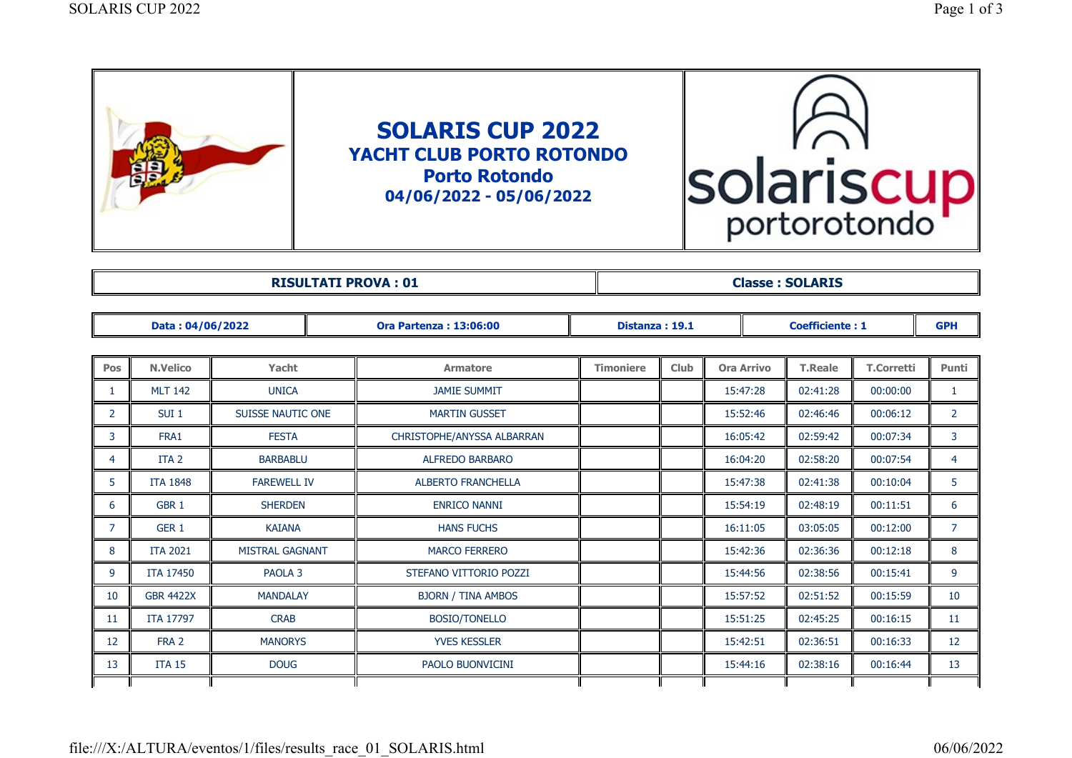| solariscu<br>portorotondo |
|---------------------------|
|                           |

| --- | ABTO<br><b>Палад</b> |
|-----|----------------------|

| Data: 04/06/2022 |                  |                          | <b>Ora Partenza: 13:06:00</b> | Distanza: 19.1   |      |                   | <b>Coefficiente: 1</b> |                   | <b>GPH</b>     |
|------------------|------------------|--------------------------|-------------------------------|------------------|------|-------------------|------------------------|-------------------|----------------|
|                  |                  |                          |                               |                  |      |                   |                        |                   |                |
| Pos              | <b>N.Velico</b>  | Yacht                    | <b>Armatore</b>               | <b>Timoniere</b> | Club | <b>Ora Arrivo</b> | <b>T.Reale</b>         | <b>T.Corretti</b> | Punti          |
|                  | <b>MLT 142</b>   | <b>UNICA</b>             | <b>JAMIE SUMMIT</b>           |                  |      | 15:47:28          | 02:41:28               | 00:00:00          | $\mathbf{1}$   |
| $\overline{2}$   | SUI <sub>1</sub> | <b>SUISSE NAUTIC ONE</b> | <b>MARTIN GUSSET</b>          |                  |      | 15:52:46          | 02:46:46               | 00:06:12          | $\overline{2}$ |
| 3                | FRA1             | <b>FESTA</b>             | CHRISTOPHE/ANYSSA ALBARRAN    |                  |      | 16:05:42          | 02:59:42               | 00:07:34          | 3              |
| 4                | ITA <sub>2</sub> | <b>BARBABLU</b>          | <b>ALFREDO BARBARO</b>        |                  |      | 16:04:20          | 02:58:20               | 00:07:54          | $\overline{4}$ |
| 5                | <b>ITA 1848</b>  | <b>FAREWELL IV</b>       | <b>ALBERTO FRANCHELLA</b>     |                  |      | 15:47:38          | 02:41:38               | 00:10:04          | 5              |
| 6                | GBR <sub>1</sub> | <b>SHERDEN</b>           | <b>ENRICO NANNI</b>           |                  |      | 15:54:19          | 02:48:19               | 00:11:51          | 6              |
| 7                | GER <sub>1</sub> | <b>KAIANA</b>            | <b>HANS FUCHS</b>             |                  |      | 16:11:05          | 03:05:05               | 00:12:00          | $\overline{7}$ |
| 8                | <b>ITA 2021</b>  | <b>MISTRAL GAGNANT</b>   | <b>MARCO FERRERO</b>          |                  |      | 15:42:36          | 02:36:36               | 00:12:18          | 8              |
| 9                | <b>ITA 17450</b> | PAOLA <sub>3</sub>       | STEFANO VITTORIO POZZI        |                  |      | 15:44:56          | 02:38:56               | 00:15:41          | 9              |
| 10               | <b>GBR 4422X</b> | <b>MANDALAY</b>          | <b>BJORN / TINA AMBOS</b>     |                  |      | 15:57:52          | 02:51:52               | 00:15:59          | 10             |
| 11               | <b>ITA 17797</b> | <b>CRAB</b>              | BOSIO/TONELLO                 |                  |      | 15:51:25          | 02:45:25               | 00:16:15          | 11             |
| 12               | FRA 2            | <b>MANORYS</b>           | <b>YVES KESSLER</b>           |                  |      | 15:42:51          | 02:36:51               | 00:16:33          | 12             |
| 13               | <b>ITA 15</b>    | <b>DOUG</b>              | PAOLO BUONVICINI              |                  |      | 15:44:16          | 02:38:16               | 00:16:44          | 13             |
|                  |                  |                          |                               |                  |      |                   |                        |                   |                |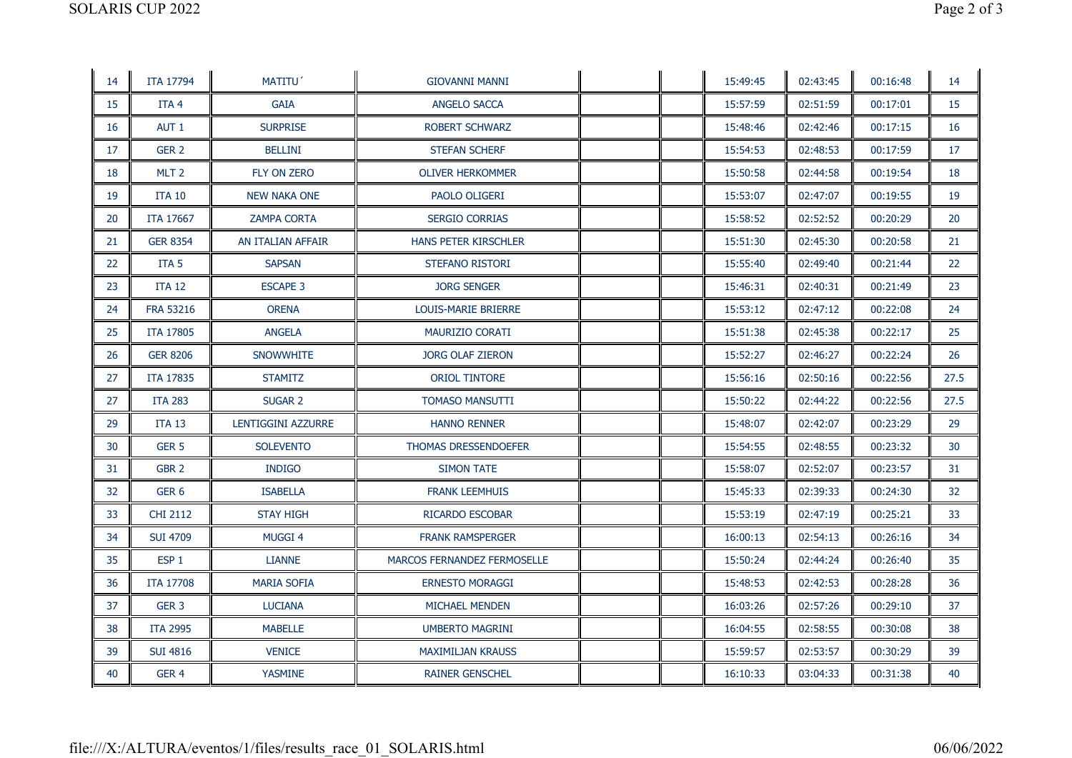| 14 | <b>ITA 17794</b> | MATITU'             | <b>GIOVANNI MANNI</b>              |  | 15:49:45 | 02:43:45 | 00:16:48 | 14   |
|----|------------------|---------------------|------------------------------------|--|----------|----------|----------|------|
| 15 | ITA <sub>4</sub> | <b>GAIA</b>         | <b>ANGELO SACCA</b>                |  | 15:57:59 | 02:51:59 | 00:17:01 | 15   |
| 16 | AUT <sub>1</sub> | <b>SURPRISE</b>     | <b>ROBERT SCHWARZ</b>              |  | 15:48:46 | 02:42:46 | 00:17:15 | 16   |
| 17 | GER <sub>2</sub> | <b>BELLINI</b>      | <b>STEFAN SCHERF</b>               |  | 15:54:53 | 02:48:53 | 00:17:59 | 17   |
| 18 | MLT <sub>2</sub> | FLY ON ZERO         | <b>OLIVER HERKOMMER</b>            |  | 15:50:58 | 02:44:58 | 00:19:54 | 18   |
| 19 | <b>ITA 10</b>    | <b>NEW NAKA ONE</b> | PAOLO OLIGERI                      |  | 15:53:07 | 02:47:07 | 00:19:55 | 19   |
| 20 | <b>ITA 17667</b> | <b>ZAMPA CORTA</b>  | <b>SERGIO CORRIAS</b>              |  | 15:58:52 | 02:52:52 | 00:20:29 | 20   |
| 21 | <b>GER 8354</b>  | AN ITALIAN AFFAIR   | <b>HANS PETER KIRSCHLER</b>        |  | 15:51:30 | 02:45:30 | 00:20:58 | 21   |
| 22 | ITA <sub>5</sub> | <b>SAPSAN</b>       | STEFANO RISTORI                    |  | 15:55:40 | 02:49:40 | 00:21:44 | 22   |
| 23 | <b>ITA 12</b>    | <b>ESCAPE 3</b>     | <b>JORG SENGER</b>                 |  | 15:46:31 | 02:40:31 | 00:21:49 | 23   |
| 24 | <b>FRA 53216</b> | <b>ORENA</b>        | LOUIS-MARIE BRIERRE                |  | 15:53:12 | 02:47:12 | 00:22:08 | 24   |
| 25 | <b>ITA 17805</b> | <b>ANGELA</b>       | MAURIZIO CORATI                    |  | 15:51:38 | 02:45:38 | 00:22:17 | 25   |
| 26 | <b>GER 8206</b>  | <b>SNOWWHITE</b>    | JORG OLAF ZIERON                   |  | 15:52:27 | 02:46:27 | 00:22:24 | 26   |
| 27 | <b>ITA 17835</b> | <b>STAMITZ</b>      | <b>ORIOL TINTORE</b>               |  | 15:56:16 | 02:50:16 | 00:22:56 | 27.5 |
| 27 | <b>ITA 283</b>   | <b>SUGAR 2</b>      | <b>TOMASO MANSUTTI</b>             |  | 15:50:22 | 02:44:22 | 00:22:56 | 27.5 |
| 29 | <b>ITA 13</b>    | LENTIGGINI AZZURRE  | <b>HANNO RENNER</b>                |  | 15:48:07 | 02:42:07 | 00:23:29 | 29   |
| 30 | GER <sub>5</sub> | <b>SOLEVENTO</b>    | THOMAS DRESSENDOEFER               |  | 15:54:55 | 02:48:55 | 00:23:32 | 30   |
| 31 | GBR <sub>2</sub> | INDIGO              | <b>SIMON TATE</b>                  |  | 15:58:07 | 02:52:07 | 00:23:57 | 31   |
| 32 | GER <sub>6</sub> | <b>ISABELLA</b>     | <b>FRANK LEEMHUIS</b>              |  | 15:45:33 | 02:39:33 | 00:24:30 | 32   |
| 33 | <b>CHI 2112</b>  | <b>STAY HIGH</b>    | RICARDO ESCOBAR                    |  | 15:53:19 | 02:47:19 | 00:25:21 | 33   |
| 34 | <b>SUI 4709</b>  | <b>MUGGI 4</b>      | <b>FRANK RAMSPERGER</b>            |  | 16:00:13 | 02:54:13 | 00:26:16 | 34   |
| 35 | ESP <sub>1</sub> | <b>LIANNE</b>       | <b>MARCOS FERNANDEZ FERMOSELLE</b> |  | 15:50:24 | 02:44:24 | 00:26:40 | 35   |
| 36 | <b>ITA 17708</b> | <b>MARIA SOFIA</b>  | <b>ERNESTO MORAGGI</b>             |  | 15:48:53 | 02:42:53 | 00:28:28 | 36   |
| 37 | GER <sub>3</sub> | <b>LUCIANA</b>      | MICHAEL MENDEN                     |  | 16:03:26 | 02:57:26 | 00:29:10 | 37   |
| 38 | <b>ITA 2995</b>  | <b>MABELLE</b>      | <b>UMBERTO MAGRINI</b>             |  | 16:04:55 | 02:58:55 | 00:30:08 | 38   |
| 39 | <b>SUI 4816</b>  | <b>VENICE</b>       | <b>MAXIMILJAN KRAUSS</b>           |  | 15:59:57 | 02:53:57 | 00:30:29 | 39   |
| 40 | GER <sub>4</sub> | <b>YASMINE</b>      | <b>RAINER GENSCHEL</b>             |  | 16:10:33 | 03:04:33 | 00:31:38 | 40   |